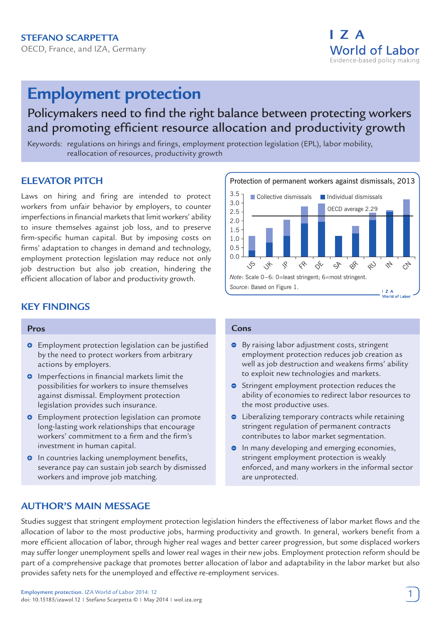

# **Employment protection**

## Policymakers need to find the right balance between protecting workers and promoting efficient resource allocation and productivity growth

Keywords: regulations on hirings and firings, employment protection legislation (EPL), labor mobility, reallocation of resources, productivity growth

## **Elevator pitch**

Laws on hiring and firing are intended to protect workers from unfair behavior by employers, to counter imperfections in financial markets that limit workers' ability to insure themselves against job loss, and to preserve firm-specific human capital. But by imposing costs on firms' adaptation to changes in demand and technology, employment protection legislation may reduce not only job destruction but also job creation, hindering the efficient allocation of labor and productivity growth.



#### **Pros**

- $\bullet$  Employment protection legislation can be justified by the need to protect workers from arbitrary actions by employers.
- **O** Imperfections in financial markets limit the possibilities for workers to insure themselves against dismissal. Employment protection legislation provides such insurance.
- $\bullet$  Employment protection legislation can promote long-lasting work relationships that encourage workers' commitment to a firm and the firm's investment in human capital.
- $\bullet$  In countries lacking unemployment benefits, severance pay can sustain job search by dismissed workers and improve job matching.



#### **Cons**

- **By raising labor adjustment costs, stringent** employment protection reduces job creation as well as job destruction and weakens firms' ability to exploit new technologies and markets.
- **Stringent employment protection reduces the** ability of economies to redirect labor resources to the most productive uses.
- **•** Liberalizing temporary contracts while retaining stringent regulation of permanent contracts contributes to labor market segmentation.
- **•** In many developing and emerging economies, stringent employment protection is weakly enforced, and many workers in the informal sector are unprotected.

## **AUTHOR'S MAIN MESSAGE**

Studies suggest that stringent employment protection legislation hinders the effectiveness of labor market flows and the allocation of labor to the most productive jobs, harming productivity and growth. In general, workers benefit from a more efficient allocation of labor, through higher real wages and better career progression, but some displaced workers may suffer longer unemployment spells and lower real wages in their new jobs. Employment protection reform should be part of a comprehensive package that promotes better allocation of labor and adaptability in the labor market but also provides safety nets for the unemployed and effective re-employment services.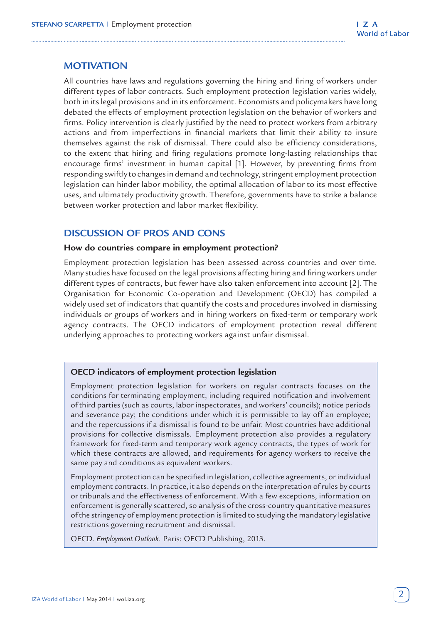## **Motivation**

All countries have laws and regulations governing the hiring and firing of workers under different types of labor contracts. Such employment protection legislation varies widely, both in its legal provisions and in its enforcement. Economists and policymakers have long debated the effects of employment protection legislation on the behavior of workers and firms. Policy intervention is clearly justified by the need to protect workers from arbitrary actions and from imperfections in financial markets that limit their ability to insure themselves against the risk of dismissal. There could also be efficiency considerations, to the extent that hiring and firing regulations promote long-lasting relationships that encourage firms' investment in human capital [1]. However, by preventing firms from responding swiftly to changes in demand and technology, stringent employment protection legislation can hinder labor mobility, the optimal allocation of labor to its most effective uses, and ultimately productivity growth. Therefore, governments have to strike a balance between worker protection and labor market flexibility.

## **Discussion of pros and cons**

#### **How do countries compare in employment protection?**

Employment protection legislation has been assessed across countries and over time. Many studies have focused on the legal provisions affecting hiring and firing workers under different types of contracts, but fewer have also taken enforcement into account [2]. The Organisation for Economic Co-operation and Development (OECD) has compiled a widely used set of indicators that quantify the costs and procedures involved in dismissing individuals or groups of workers and in hiring workers on fixed-term or temporary work agency contracts. The OECD indicators of employment protection reveal different underlying approaches to protecting workers against unfair dismissal.

#### **OECD indicators of employment protection legislation**

Employment protection legislation for workers on regular contracts focuses on the conditions for terminating employment, including required notification and involvement of third parties (such as courts, labor inspectorates, and workers' councils); notice periods and severance pay; the conditions under which it is permissible to lay off an employee; and the repercussions if a dismissal is found to be unfair. Most countries have additional provisions for collective dismissals. Employment protection also provides a regulatory framework for fixed-term and temporary work agency contracts, the types of work for which these contracts are allowed, and requirements for agency workers to receive the same pay and conditions as equivalent workers.

Employment protection can be specified in legislation, collective agreements, or individual employment contracts. In practice, it also depends on the interpretation of rules by courts or tribunals and the effectiveness of enforcement. With a few exceptions, information on enforcement is generally scattered, so analysis of the cross-country quantitative measures of the stringency of employment protection is limited to studying the mandatory legislative restrictions governing recruitment and dismissal.

OECD. *Employment Outlook.* Paris: OECD Publishing, 2013.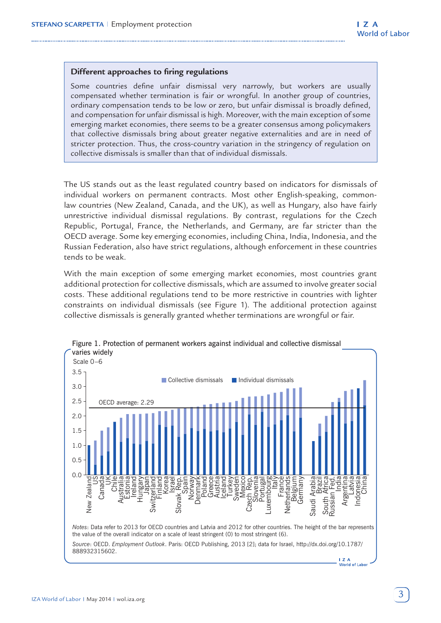#### **Different approaches to firing regulations**

Some countries define unfair dismissal very narrowly, but workers are usually compensated whether termination is fair or wrongful. In another group of countries, ordinary compensation tends to be low or zero, but unfair dismissal is broadly defined, and compensation for unfair dismissal is high. Moreover, with the main exception of some emerging market economies, there seems to be a greater consensus among policymakers that collective dismissals bring about greater negative externalities and are in need of stricter protection. Thus, the cross-country variation in the stringency of regulation on collective dismissals is smaller than that of individual dismissals.

The US stands out as the least regulated country based on indicators for dismissals of individual workers on permanent contracts. Most other English-speaking, commonlaw countries (New Zealand, Canada, and the UK), as well as Hungary, also have fairly unrestrictive individual dismissal regulations. By contrast, regulations for the Czech Republic, Portugal, France, the Netherlands, and Germany, are far stricter than the OECD average. Some key emerging economies, including China, India, Indonesia, and the Russian Federation, also have strict regulations, although enforcement in these countries tends to be weak.

With the main exception of some emerging market economies, most countries grant additional protection for collective dismissals, which are assumed to involve greater social costs. These additional regulations tend to be more restrictive in countries with lighter constraints on individual dismissals (see Figure 1). The additional protection against collective dismissals is generally granted whether terminations are wrongful or fair.



## Figure 1. Protection of permanent workers against individual and collective dismissal

*Source*: OECD. *Employment Outlook*. Paris: OECD Publishing, 2013 [2]; data for Israel, http://dx.doi.org/10.1787/ 888932315602.

> $17A$ world of Labor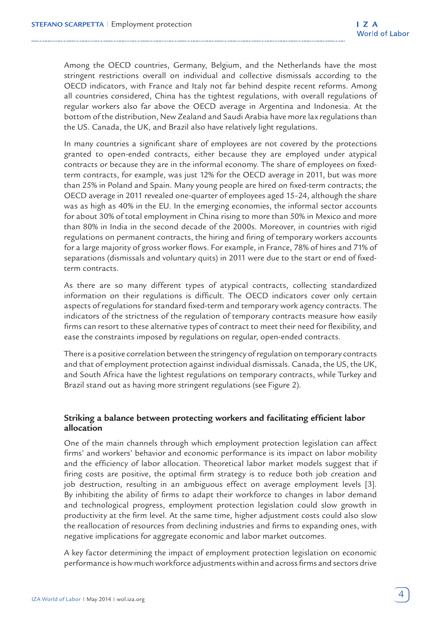Among the OECD countries, Germany, Belgium, and the Netherlands have the most stringent restrictions overall on individual and collective dismissals according to the OECD indicators, with France and Italy not far behind despite recent reforms. Among all countries considered, China has the tightest regulations, with overall regulations of regular workers also far above the OECD average in Argentina and Indonesia. At the bottom of the distribution, New Zealand and Saudi Arabia have more lax regulations than the US. Canada, the UK, and Brazil also have relatively light regulations.

In many countries a significant share of employees are not covered by the protections granted to open-ended contracts, either because they are employed under atypical contracts or because they are in the informal economy. The share of employees on fixedterm contracts, for example, was just 12% for the OECD average in 2011, but was more than 25% in Poland and Spain. Many young people are hired on fixed-term contracts; the OECD average in 2011 revealed one-quarter of employees aged 15–24, although the share was as high as 40% in the EU. In the emerging economies, the informal sector accounts for about 30% of total employment in China rising to more than 50% in Mexico and more than 80% in India in the second decade of the 2000s. Moreover, in countries with rigid regulations on permanent contracts, the hiring and firing of temporary workers accounts for a large majority of gross worker flows. For example, in France, 78% of hires and 71% of separations (dismissals and voluntary quits) in 2011 were due to the start or end of fixedterm contracts.

As there are so many different types of atypical contracts, collecting standardized information on their regulations is difficult. The OECD indicators cover only certain aspects of regulations for standard fixed-term and temporary work agency contracts. The indicators of the strictness of the regulation of temporary contracts measure how easily firms can resort to these alternative types of contract to meet their need for flexibility, and ease the constraints imposed by regulations on regular, open-ended contracts.

There is a positive correlation between the stringency of regulation on temporary contracts and that of employment protection against individual dismissals. Canada, the US, the UK, and South Africa have the lightest regulations on temporary contracts, while Turkey and Brazil stand out as having more stringent regulations (see Figure 2).

## **Striking a balance between protecting workers and facilitating efficient labor allocation**

One of the main channels through which employment protection legislation can affect firms' and workers' behavior and economic performance is its impact on labor mobility and the efficiency of labor allocation. Theoretical labor market models suggest that if firing costs are positive, the optimal firm strategy is to reduce both job creation and job destruction, resulting in an ambiguous effect on average employment levels [3]. By inhibiting the ability of firms to adapt their workforce to changes in labor demand and technological progress, employment protection legislation could slow growth in productivity at the firm level. At the same time, higher adjustment costs could also slow the reallocation of resources from declining industries and firms to expanding ones, with negative implications for aggregate economic and labor market outcomes.

A key factor determining the impact of employment protection legislation on economic performance is how much workforce adjustments within and across firms and sectors drive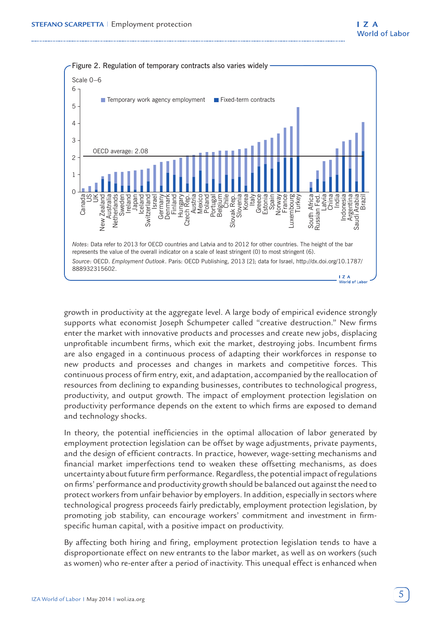

growth in productivity at the aggregate level. A large body of empirical evidence strongly supports what economist Joseph Schumpeter called "creative destruction." New firms enter the market with innovative products and processes and create new jobs, displacing unprofitable incumbent firms, which exit the market, destroying jobs. Incumbent firms are also engaged in a continuous process of adapting their workforces in response to new products and processes and changes in markets and competitive forces. This continuous process of firm entry, exit, and adaptation, accompanied by the reallocation of resources from declining to expanding businesses, contributes to technological progress, productivity, and output growth. The impact of employment protection legislation on productivity performance depends on the extent to which firms are exposed to demand and technology shocks.

In theory, the potential inefficiencies in the optimal allocation of labor generated by employment protection legislation can be offset by wage adjustments, private payments, and the design of efficient contracts. In practice, however, wage-setting mechanisms and financial market imperfections tend to weaken these offsetting mechanisms, as does uncertainty about future firm performance. Regardless, the potential impact of regulations on firms' performance and productivity growth should be balanced out against the need to protect workers from unfair behavior by employers. In addition, especially in sectors where technological progress proceeds fairly predictably, employment protection legislation, by promoting job stability, can encourage workers' commitment and investment in firmspecific human capital, with a positive impact on productivity.

By affecting both hiring and firing, employment protection legislation tends to have a disproportionate effect on new entrants to the labor market, as well as on workers (such as women) who re-enter after a period of inactivity. This unequal effect is enhanced when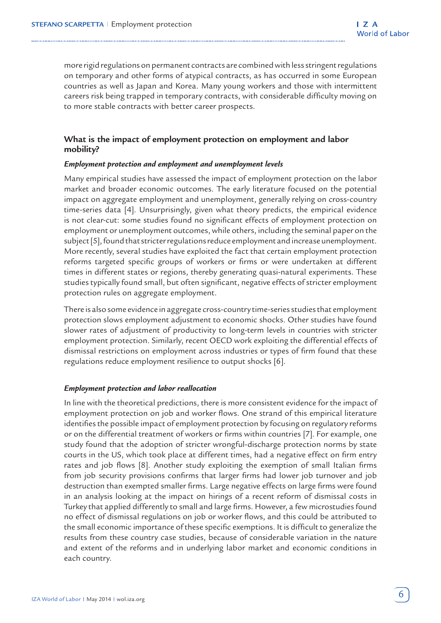more rigid regulations on permanent contracts are combined with less stringent regulations on temporary and other forms of atypical contracts, as has occurred in some European countries as well as Japan and Korea. Many young workers and those with intermittent careers risk being trapped in temporary contracts, with considerable difficulty moving on to more stable contracts with better career prospects.

## **What is the impact of employment protection on employment and labor mobility?**

#### *Employment protection and employment and unemployment levels*

Many empirical studies have assessed the impact of employment protection on the labor market and broader economic outcomes. The early literature focused on the potential impact on aggregate employment and unemployment, generally relying on cross-country time-series data [4]. Unsurprisingly, given what theory predicts, the empirical evidence is not clear-cut: some studies found no significant effects of employment protection on employment or unemployment outcomes, while others, including the seminal paper on the subject [5], found that stricter regulations reduce employment and increase unemployment. More recently, several studies have exploited the fact that certain employment protection reforms targeted specific groups of workers or firms or were undertaken at different times in different states or regions, thereby generating quasi-natural experiments. These studies typically found small, but often significant, negative effects of stricter employment protection rules on aggregate employment.

There is also some evidence in aggregate cross-country time-series studies that employment protection slows employment adjustment to economic shocks. Other studies have found slower rates of adjustment of productivity to long-term levels in countries with stricter employment protection. Similarly, recent OECD work exploiting the differential effects of dismissal restrictions on employment across industries or types of firm found that these regulations reduce employment resilience to output shocks [6].

#### *Employment protection and labor reallocation*

In line with the theoretical predictions, there is more consistent evidence for the impact of employment protection on job and worker flows. One strand of this empirical literature identifies the possible impact of employment protection by focusing on regulatory reforms or on the differential treatment of workers or firms within countries [7]. For example, one study found that the adoption of stricter wrongful-discharge protection norms by state courts in the US, which took place at different times, had a negative effect on firm entry rates and job flows [8]. Another study exploiting the exemption of small Italian firms from job security provisions confirms that larger firms had lower job turnover and job destruction than exempted smaller firms. Large negative effects on large firms were found in an analysis looking at the impact on hirings of a recent reform of dismissal costs in Turkey that applied differently to small and large firms. However, a few microstudies found no effect of dismissal regulations on job or worker flows, and this could be attributed to the small economic importance of these specific exemptions. It is difficult to generalize the results from these country case studies, because of considerable variation in the nature and extent of the reforms and in underlying labor market and economic conditions in each country.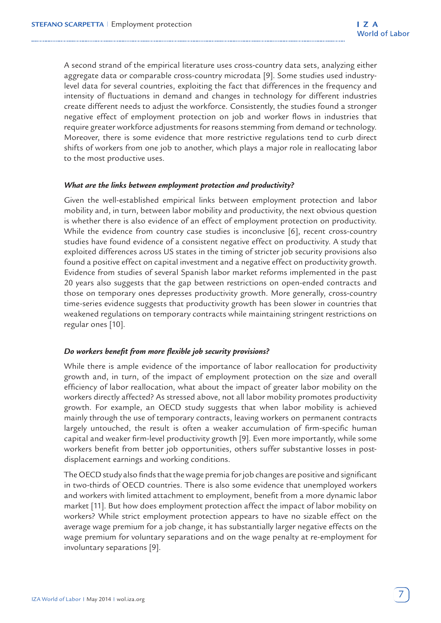A second strand of the empirical literature uses cross-country data sets, analyzing either aggregate data or comparable cross-country microdata [9]. Some studies used industrylevel data for several countries, exploiting the fact that differences in the frequency and intensity of fluctuations in demand and changes in technology for different industries create different needs to adjust the workforce. Consistently, the studies found a stronger negative effect of employment protection on job and worker flows in industries that require greater workforce adjustments for reasons stemming from demand or technology. Moreover, there is some evidence that more restrictive regulations tend to curb direct shifts of workers from one job to another, which plays a major role in reallocating labor to the most productive uses.

#### *What are the links between employment protection and productivity?*

Given the well-established empirical links between employment protection and labor mobility and, in turn, between labor mobility and productivity, the next obvious question is whether there is also evidence of an effect of employment protection on productivity. While the evidence from country case studies is inconclusive [6], recent cross-country studies have found evidence of a consistent negative effect on productivity. A study that exploited differences across US states in the timing of stricter job security provisions also found a positive effect on capital investment and a negative effect on productivity growth. Evidence from studies of several Spanish labor market reforms implemented in the past 20 years also suggests that the gap between restrictions on open-ended contracts and those on temporary ones depresses productivity growth. More generally, cross-country time-series evidence suggests that productivity growth has been slower in countries that weakened regulations on temporary contracts while maintaining stringent restrictions on regular ones [10].

#### *Do workers benefit from more flexible job security provisions?*

While there is ample evidence of the importance of labor reallocation for productivity growth and, in turn, of the impact of employment protection on the size and overall efficiency of labor reallocation, what about the impact of greater labor mobility on the workers directly affected? As stressed above, not all labor mobility promotes productivity growth. For example, an OECD study suggests that when labor mobility is achieved mainly through the use of temporary contracts, leaving workers on permanent contracts largely untouched, the result is often a weaker accumulation of firm-specific human capital and weaker firm-level productivity growth [9]. Even more importantly, while some workers benefit from better job opportunities, others suffer substantive losses in postdisplacement earnings and working conditions.

The OECD study also finds that the wage premia for job changes are positive and significant in two-thirds of OECD countries. There is also some evidence that unemployed workers and workers with limited attachment to employment, benefit from a more dynamic labor market [11]. But how does employment protection affect the impact of labor mobility on workers? While strict employment protection appears to have no sizable effect on the average wage premium for a job change, it has substantially larger negative effects on the wage premium for voluntary separations and on the wage penalty at re-employment for involuntary separations [9].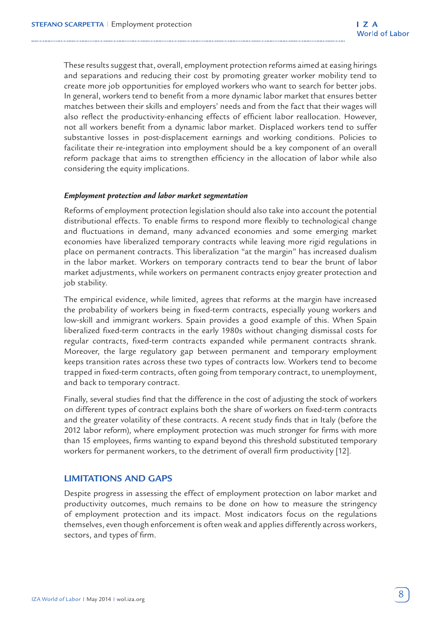These results suggest that, overall, employment protection reforms aimed at easing hirings and separations and reducing their cost by promoting greater worker mobility tend to create more job opportunities for employed workers who want to search for better jobs. In general, workers tend to benefit from a more dynamic labor market that ensures better matches between their skills and employers' needs and from the fact that their wages will also reflect the productivity-enhancing effects of efficient labor reallocation. However, not all workers benefit from a dynamic labor market. Displaced workers tend to suffer substantive losses in post-displacement earnings and working conditions. Policies to facilitate their re-integration into employment should be a key component of an overall reform package that aims to strengthen efficiency in the allocation of labor while also considering the equity implications.

#### *Employment protection and labor market segmentation*

Reforms of employment protection legislation should also take into account the potential distributional effects. To enable firms to respond more flexibly to technological change and fluctuations in demand, many advanced economies and some emerging market economies have liberalized temporary contracts while leaving more rigid regulations in place on permanent contracts. This liberalization "at the margin" has increased dualism in the labor market. Workers on temporary contracts tend to bear the brunt of labor market adjustments, while workers on permanent contracts enjoy greater protection and job stability.

The empirical evidence, while limited, agrees that reforms at the margin have increased the probability of workers being in fixed-term contracts, especially young workers and low-skill and immigrant workers. Spain provides a good example of this. When Spain liberalized fixed-term contracts in the early 1980s without changing dismissal costs for regular contracts, fixed-term contracts expanded while permanent contracts shrank. Moreover, the large regulatory gap between permanent and temporary employment keeps transition rates across these two types of contracts low. Workers tend to become trapped in fixed-term contracts, often going from temporary contract, to unemployment, and back to temporary contract.

Finally, several studies find that the difference in the cost of adjusting the stock of workers on different types of contract explains both the share of workers on fixed-term contracts and the greater volatility of these contracts. A recent study finds that in Italy (before the 2012 labor reform), where employment protection was much stronger for firms with more than 15 employees, firms wanting to expand beyond this threshold substituted temporary workers for permanent workers, to the detriment of overall firm productivity [12].

### **Limitations and gaps**

Despite progress in assessing the effect of employment protection on labor market and productivity outcomes, much remains to be done on how to measure the stringency of employment protection and its impact. Most indicators focus on the regulations themselves, even though enforcement is often weak and applies differently across workers, sectors, and types of firm.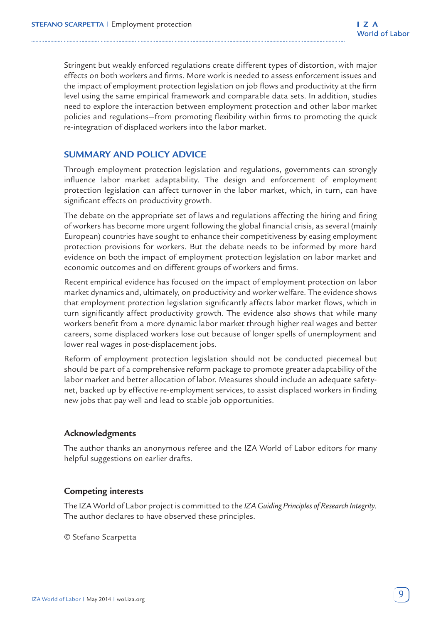Stringent but weakly enforced regulations create different types of distortion, with major effects on both workers and firms. More work is needed to assess enforcement issues and the impact of employment protection legislation on job flows and productivity at the firm level using the same empirical framework and comparable data sets. In addition, studies need to explore the interaction between employment protection and other labor market policies and regulations—from promoting flexibility within firms to promoting the quick re-integration of displaced workers into the labor market.

## **Summary and policy advice**

Through employment protection legislation and regulations, governments can strongly influence labor market adaptability. The design and enforcement of employment protection legislation can affect turnover in the labor market, which, in turn, can have significant effects on productivity growth.

The debate on the appropriate set of laws and regulations affecting the hiring and firing of workers has become more urgent following the global financial crisis, as several (mainly European) countries have sought to enhance their competitiveness by easing employment protection provisions for workers. But the debate needs to be informed by more hard evidence on both the impact of employment protection legislation on labor market and economic outcomes and on different groups of workers and firms.

Recent empirical evidence has focused on the impact of employment protection on labor market dynamics and, ultimately, on productivity and worker welfare. The evidence shows that employment protection legislation significantly affects labor market flows, which in turn significantly affect productivity growth. The evidence also shows that while many workers benefit from a more dynamic labor market through higher real wages and better careers, some displaced workers lose out because of longer spells of unemployment and lower real wages in post-displacement jobs.

Reform of employment protection legislation should not be conducted piecemeal but should be part of a comprehensive reform package to promote greater adaptability of the labor market and better allocation of labor. Measures should include an adequate safetynet, backed up by effective re-employment services, to assist displaced workers in finding new jobs that pay well and lead to stable job opportunities.

## **Acknowledgments**

The author thanks an anonymous referee and the IZA World of Labor editors for many helpful suggestions on earlier drafts.

## **Competing interests**

The IZA World of Labor project is committed to the *IZA Guiding Principles of Research Integrity*. The author declares to have observed these principles.

© Stefano Scarpetta